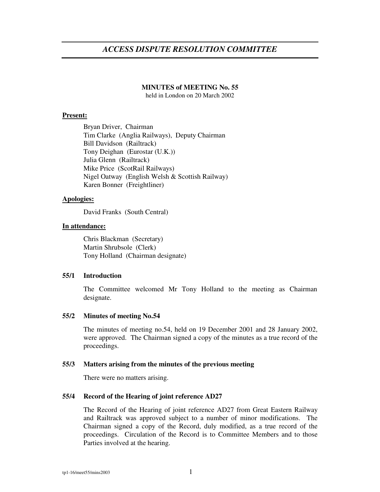# *ACCESS DISPUTE RESOLUTION COMMITTEE*

### **MINUTES of MEETING No. 55**

held in London on 20 March 2002

### **Present:**

Bryan Driver, Chairman Tim Clarke (Anglia Railways), Deputy Chairman Bill Davidson (Railtrack) Tony Deighan (Eurostar (U.K.)) Julia Glenn (Railtrack) Mike Price (ScotRail Railways) Nigel Oatway (English Welsh & Scottish Railway) Karen Bonner (Freightliner)

### **Apologies:**

David Franks (South Central)

### **In attendance:**

Chris Blackman (Secretary) Martin Shrubsole (Clerk) Tony Holland (Chairman designate)

#### **55/1 Introduction**

The Committee welcomed Mr Tony Holland to the meeting as Chairman designate.

#### **55/2 Minutes of meeting No.54**

The minutes of meeting no.54, held on 19 December 2001 and 28 January 2002, were approved. The Chairman signed a copy of the minutes as a true record of the proceedings.

#### **55/3 Matters arising from the minutes of the previous meeting**

There were no matters arising.

### **55/4 Record of the Hearing of joint reference AD27**

The Record of the Hearing of joint reference AD27 from Great Eastern Railway and Railtrack was approved subject to a number of minor modifications. The Chairman signed a copy of the Record, duly modified, as a true record of the proceedings. Circulation of the Record is to Committee Members and to those Parties involved at the hearing.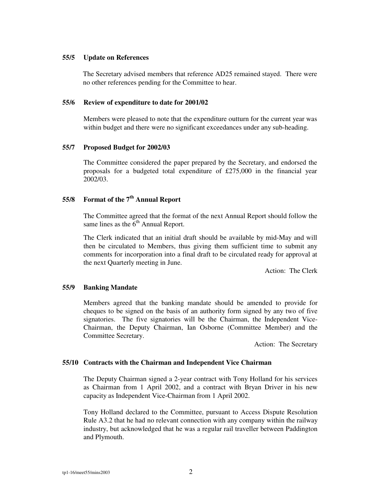### **55/5 Update on References**

The Secretary advised members that reference AD25 remained stayed. There were no other references pending for the Committee to hear.

### **55/6 Review of expenditure to date for 2001/02**

Members were pleased to note that the expenditure outturn for the current year was within budget and there were no significant exceedances under any sub-heading.

### **55/7 Proposed Budget for 2002/03**

The Committee considered the paper prepared by the Secretary, and endorsed the proposals for a budgeted total expenditure of £275,000 in the financial year 2002/03.

## **55/8 Format of the 7 th Annual Report**

The Committee agreed that the format of the next Annual Report should follow the same lines as the  $6<sup>th</sup>$  Annual Report.

The Clerk indicated that an initial draft should be available by mid-May and will then be circulated to Members, thus giving them sufficient time to submit any comments for incorporation into a final draft to be circulated ready for approval at the next Quarterly meeting in June.

Action: The Clerk

### **55/9 Banking Mandate**

Members agreed that the banking mandate should be amended to provide for cheques to be signed on the basis of an authority form signed by any two of five signatories. The five signatories will be the Chairman, the Independent Vice-Chairman, the Deputy Chairman, Ian Osborne (Committee Member) and the Committee Secretary.

Action: The Secretary

### **55/10 Contracts with the Chairman and Independent Vice Chairman**

The Deputy Chairman signed a 2-year contract with Tony Holland for his services as Chairman from 1 April 2002, and a contract with Bryan Driver in his new capacity as Independent Vice-Chairman from 1 April 2002.

Tony Holland declared to the Committee, pursuant to Access Dispute Resolution Rule A3.2 that he had no relevant connection with any company within the railway industry, but acknowledged that he was a regular rail traveller between Paddington and Plymouth.